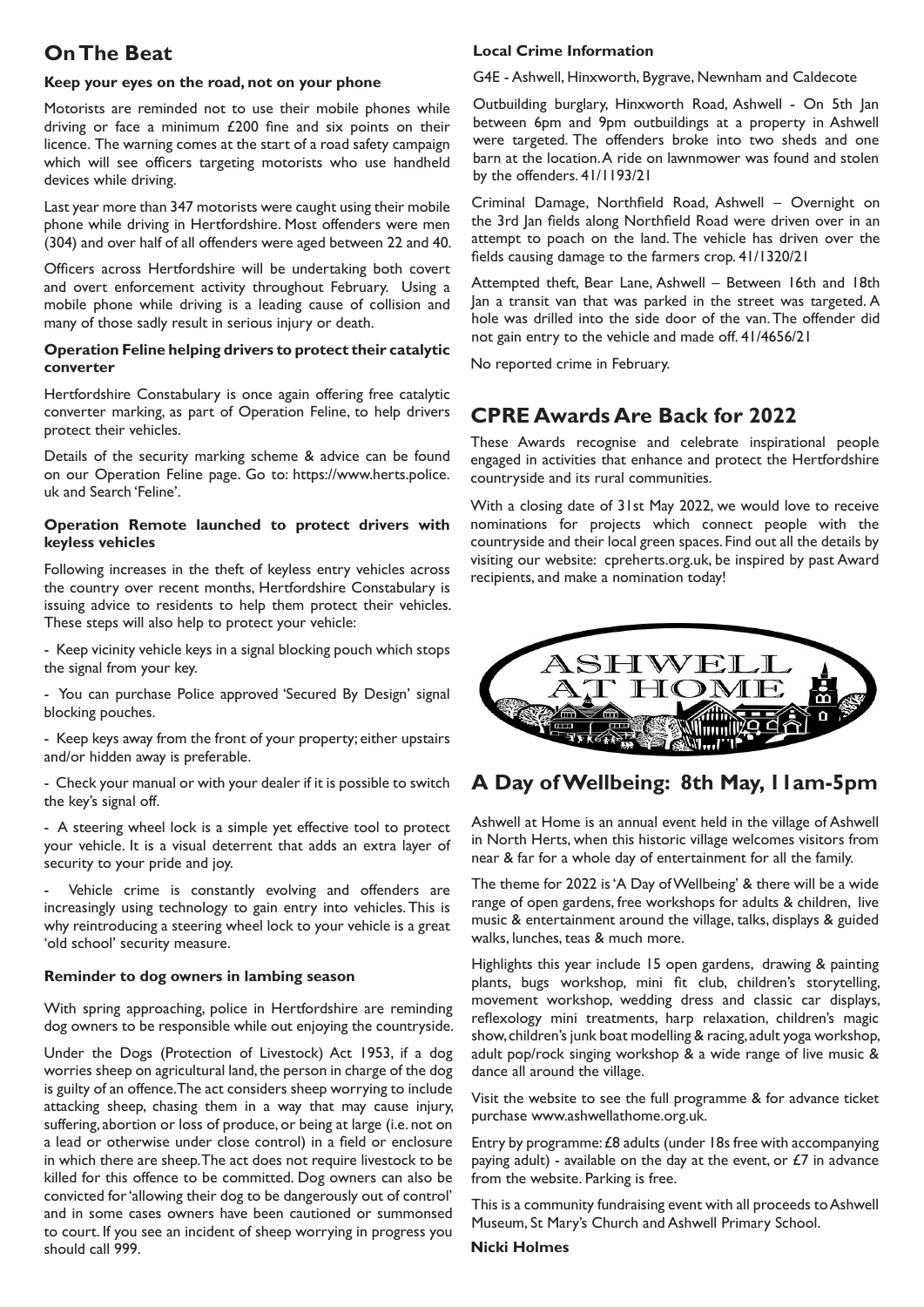# **On The Beat**

#### **Keep your eyes on the road, not on your phone**

Motorists are reminded not to use their mobile phones while driving or face a minimum £200 fine and six points on their licence. The warning comes at the start of a road safety campaign which will see officers targeting motorists who use handheld devices while driving.

Last year more than 347 motorists were caught using their mobile phone while driving in Hertfordshire. Most offenders were men (304) and over half of all offenders were aged between 22 and 40.

Officers across Hertfordshire will be undertaking both covert and overt enforcement activity throughout February. Using a mobile phone while driving is a leading cause of collision and many of those sadly result in serious injury or death.

#### **Operation Feline helping drivers to protect their catalytic converter**

Hertfordshire Constabulary is once again offering free catalytic converter marking, as part of Operation Feline, to help drivers protect their vehicles.

Details of the security marking scheme & advice can be found on our Operation Feline page. Go to: https://www.herts.police. uk and Search 'Feline'.

#### **Operation Remote launched to protect drivers with keyless vehicles**

Following increases in the theft of keyless entry vehicles across the country over recent months, Hertfordshire Constabulary is issuing advice to residents to help them protect their vehicles. These steps will also help to protect your vehicle:

- Keep vicinity vehicle keys in a signal blocking pouch which stops the signal from your key.

- You can purchase Police approved 'Secured By Design' signal blocking pouches.

- Keep keys away from the front of your property; either upstairs and/or hidden away is preferable.

- Check your manual or with your dealer if it is possible to switch the key's signal off.

- A steering wheel lock is a simple yet effective tool to protect your vehicle. It is a visual deterrent that adds an extra layer of security to your pride and joy.

Vehicle crime is constantly evolving and offenders are increasingly using technology to gain entry into vehicles. This is why reintroducing a steering wheel lock to your vehicle is a great 'old school' security measure.

#### **Reminder to dog owners in lambing season**

With spring approaching, police in Hertfordshire are reminding dog owners to be responsible while out enjoying the countryside.

Under the Dogs (Protection of Livestock) Act 1953, if a dog worries sheep on agricultural land, the person in charge of the dog is guilty of an offence. The act considers sheep worrying to include attacking sheep, chasing them in a way that may cause injury, suffering, abortion or loss of produce, or being at large (i.e. not on a lead or otherwise under close control) in a field or enclosure in which there are sheep. The act does not require livestock to be killed for this offence to be committed. Dog owners can also be convicted for 'allowing their dog to be dangerously out of control' and in some cases owners have been cautioned or summonsed to court. If you see an incident of sheep worrying in progress you should call 999.

#### **Local Crime Information**

G4E - Ashwell, Hinxworth, Bygrave, Newnham and Caldecote

Outbuilding burglary, Hinxworth Road, Ashwell - On 5th Jan between 6pm and 9pm outbuildings at a property in Ashwell were targeted. The offenders broke into two sheds and one barn at the location. A ride on lawnmower was found and stolen by the offenders. 41/1193/21

Criminal Damage, Northfield Road, Ashwell – Overnight on the 3rd Jan fields along Northfield Road were driven over in an attempt to poach on the land. The vehicle has driven over the fields causing damage to the farmers crop. 41/1320/21

Attempted theft, Bear Lane, Ashwell – Between 16th and 18th Jan a transit van that was parked in the street was targeted. A hole was drilled into the side door of the van. The offender did not gain entry to the vehicle and made off. 41/4656/21

No reported crime in February.

## **CPRE Awards Are Back for 2022**

These Awards recognise and celebrate inspirational people engaged in activities that enhance and protect the Hertfordshire countryside and its rural communities.

With a closing date of 31st May 2022, we would love to receive nominations for projects which connect people with the countryside and their local green spaces. Find out all the details by visiting our website: cpreherts.org.uk, be inspired by past Award recipients, and make a nomination today!



### **A Day of Wellbeing: 8th May, 11am-5pm**

Ashwell at Home is an annual event held in the village of Ashwell in North Herts, when this historic village welcomes visitors from near & far for a whole day of entertainment for all the family.

The theme for 2022 is 'A Day of Wellbeing' & there will be a wide range of open gardens, free workshops for adults & children, live music & entertainment around the village, talks, displays & guided walks, lunches, teas & much more.

Highlights this year include 15 open gardens, drawing & painting plants, bugs workshop, mini fit club, children's storytelling, movement workshop, wedding dress and classic car displays, reflexology mini treatments, harp relaxation, children's magic show, children's junk boat modelling & racing, adult yoga workshop, adult pop/rock singing workshop & a wide range of live music & dance all around the village.

Visit the website to see the full programme & for advance ticket purchase www.ashwellathome.org.uk.

Entry by programme: £8 adults (under 18s free with accompanying paying adult) - available on the day at the event, or  $£7$  in advance from the website. Parking is free.

This is a community fundraising event with all proceeds to Ashwell Museum, St Mary's Church and Ashwell Primary School.

#### **Nicki Holmes**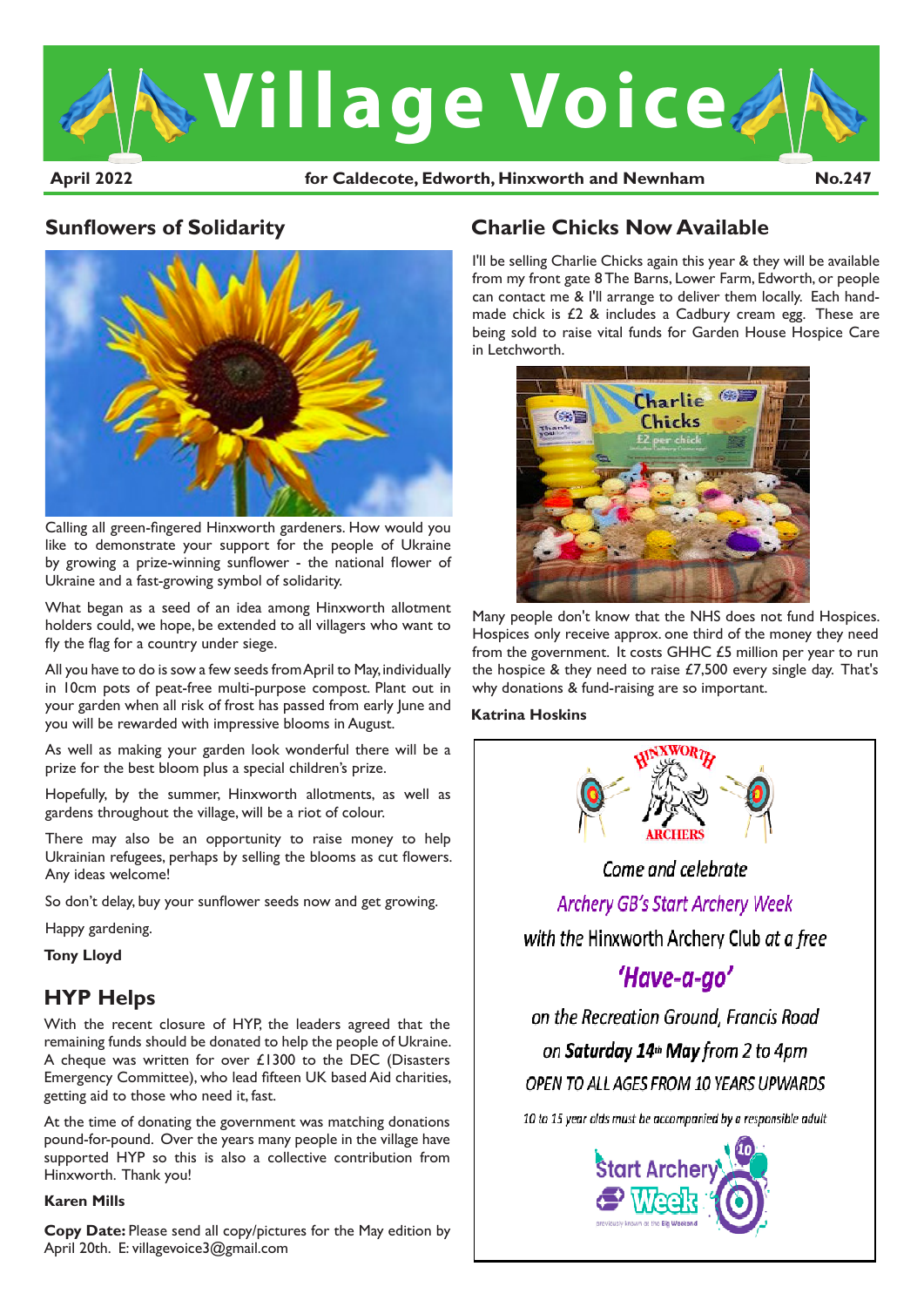

April 2022 **hotabook** for Caldecote, Edworth, Hinxworth and Newnham No.247

### **Sunflowers of Solidarity**



Calling all green-fingered Hinxworth gardeners. How would you like to demonstrate your support for the people of Ukraine by growing a prize-winning sunflower - the national flower of Ukraine and a fast-growing symbol of solidarity.

What began as a seed of an idea among Hinxworth allotment holders could, we hope, be extended to all villagers who want to fly the flag for a country under siege.

All you have to do is sow a few seeds from April to May, individually in 10cm pots of peat-free multi-purpose compost. Plant out in your garden when all risk of frost has passed from early lune and you will be rewarded with impressive blooms in August.

As well as making your garden look wonderful there will be a prize for the best bloom plus a special children's prize.

Hopefully, by the summer, Hinxworth allotments, as well as gardens throughout the village, will be a riot of colour.

There may also be an opportunity to raise money to help Ukrainian refugees, perhaps by selling the blooms as cut flowers. Any ideas welcome!

So don't delay, buy your sunflower seeds now and get growing.

Happy gardening.

**Tony Lloyd**

# **HYP Helps**

With the recent closure of HYP, the leaders agreed that the remaining funds should be donated to help the people of Ukraine. A cheque was written for over £1300 to the DEC (Disasters Emergency Committee), who lead fifteen UK based Aid charities, getting aid to those who need it, fast.

At the time of donating the government was matching donations pound-for-pound. Over the years many people in the village have supported HYP so this is also a collective contribution from Hinxworth. Thank you!

### **Karen Mills**

**Copy Date:** Please send all copy/pictures for the May edition by April 20th. E: villagevoice3@gmail.com

# **Charlie Chicks Now Available**

I'll be selling Charlie Chicks again this year & they will be available from my front gate 8 The Barns, Lower Farm, Edworth, or people can contact me & I'll arrange to deliver them locally. Each handmade chick is £2 & includes a Cadbury cream egg. These are being sold to raise vital funds for Garden House Hospice Care in Letchworth.



Many people don't know that the NHS does not fund Hospices. Hospices only receive approx. one third of the money they need from the government. It costs GHHC £5 million per year to run the hospice & they need to raise £7,500 every single day. That's why donations & fund-raising are so important.

### **Katrina Hoskins**

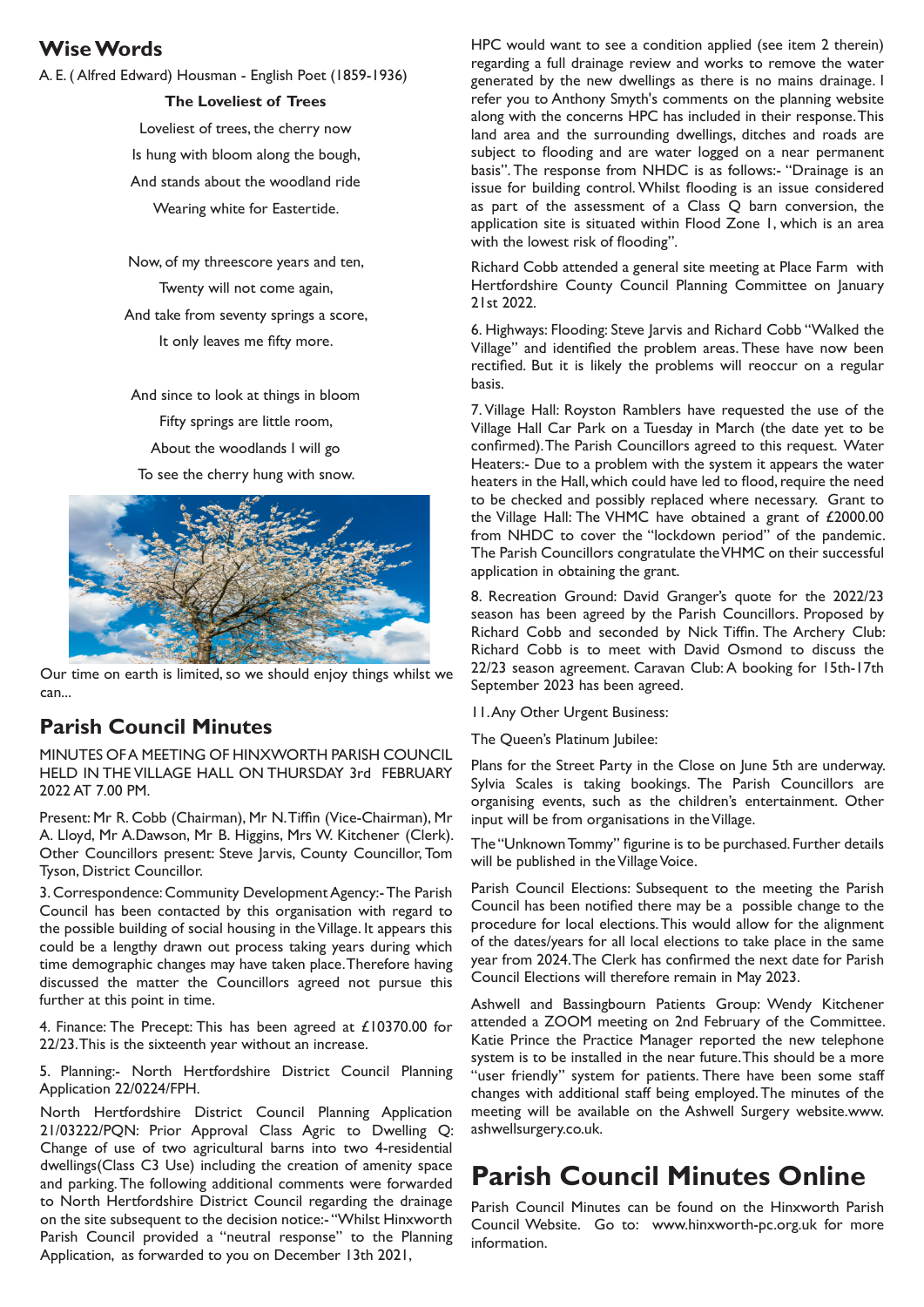### **Wise Words**

A. E. ( Alfred Edward) Housman - English Poet (1859-1936)

#### **The Loveliest of Trees**

Loveliest of trees, the cherry now Is hung with bloom along the bough, And stands about the woodland ride Wearing white for Eastertide.

Now, of my threescore years and ten, Twenty will not come again, And take from seventy springs a score, It only leaves me fifty more.

And since to look at things in bloom Fifty springs are little room, About the woodlands I will go To see the cherry hung with snow.



Our time on earth is limited, so we should enjoy things whilst we can...

# **Parish Council Minutes**

MINUTES OF A MEETING OF HINXWORTH PARISH COUNCIL HELD IN THE VILLAGE HALL ON THURSDAY 3rd FEBRUARY 2022 AT 7.00 PM.

Present: Mr R. Cobb (Chairman), Mr N. Tiffin (Vice-Chairman), Mr A. Lloyd, Mr A.Dawson, Mr B. Higgins, Mrs W. Kitchener (Clerk). Other Councillors present: Steve Jarvis, County Councillor, Tom Tyson, District Councillor.

3. Correspondence: Community Development Agency:- The Parish Council has been contacted by this organisation with regard to the possible building of social housing in the Village. It appears this could be a lengthy drawn out process taking years during which time demographic changes may have taken place. Therefore having discussed the matter the Councillors agreed not pursue this further at this point in time.

4. Finance: The Precept: This has been agreed at £10370.00 for 22/23. This is the sixteenth year without an increase.

5. Planning:- North Hertfordshire District Council Planning Application 22/0224/FPH.

North Hertfordshire District Council Planning Application 21/03222/PQN: Prior Approval Class Agric to Dwelling Q: Change of use of two agricultural barns into two 4-residential dwellings(Class C3 Use) including the creation of amenity space and parking. The following additional comments were forwarded to North Hertfordshire District Council regarding the drainage on the site subsequent to the decision notice:- "Whilst Hinxworth Parish Council provided a "neutral response" to the Planning Application, as forwarded to you on December 13th 2021,

HPC would want to see a condition applied (see item 2 therein) regarding a full drainage review and works to remove the water generated by the new dwellings as there is no mains drainage. I refer you to Anthony Smyth's comments on the planning website along with the concerns HPC has included in their response. This land area and the surrounding dwellings, ditches and roads are subject to flooding and are water logged on a near permanent basis". The response from NHDC is as follows:- "Drainage is an issue for building control. Whilst flooding is an issue considered as part of the assessment of a Class Q barn conversion, the application site is situated within Flood Zone 1, which is an area with the lowest risk of flooding".

Richard Cobb attended a general site meeting at Place Farm with Hertfordshire County Council Planning Committee on January 21st 2022.

6. Highways: Flooding: Steve Jarvis and Richard Cobb "Walked the Village" and identified the problem areas. These have now been rectified. But it is likely the problems will reoccur on a regular basis.

7. Village Hall: Royston Ramblers have requested the use of the Village Hall Car Park on a Tuesday in March (the date yet to be confirmed). The Parish Councillors agreed to this request. Water Heaters:- Due to a problem with the system it appears the water heaters in the Hall, which could have led to flood, require the need to be checked and possibly replaced where necessary. Grant to the Village Hall: The VHMC have obtained a grant of £2000.00 from NHDC to cover the "lockdown period" of the pandemic. The Parish Councillors congratulate the VHMC on their successful application in obtaining the grant.

8. Recreation Ground: David Granger's quote for the 2022/23 season has been agreed by the Parish Councillors. Proposed by Richard Cobb and seconded by Nick Tiffin. The Archery Club: Richard Cobb is to meet with David Osmond to discuss the 22/23 season agreement. Caravan Club: A booking for 15th-17th September 2023 has been agreed.

11. Any Other Urgent Business:

The Queen's Platinum Jubilee:

Plans for the Street Party in the Close on June 5th are underway. Sylvia Scales is taking bookings. The Parish Councillors are organising events, such as the children's entertainment. Other input will be from organisations in the Village.

The "Unknown Tommy" figurine is to be purchased. Further details will be published in the Village Voice.

Parish Council Elections: Subsequent to the meeting the Parish Council has been notified there may be a possible change to the procedure for local elections. This would allow for the alignment of the dates/years for all local elections to take place in the same year from 2024. The Clerk has confirmed the next date for Parish Council Elections will therefore remain in May 2023.

Ashwell and Bassingbourn Patients Group: Wendy Kitchener attended a ZOOM meeting on 2nd February of the Committee. Katie Prince the Practice Manager reported the new telephone system is to be installed in the near future. This should be a more "user friendly" system for patients. There have been some staff changes with additional staff being employed. The minutes of the meeting will be available on the Ashwell Surgery website.www. ashwellsurgery.co.uk.

# **Parish Council Minutes Online**

Parish Council Minutes can be found on the Hinxworth Parish Council Website. Go to: www.hinxworth-pc.org.uk for more information.